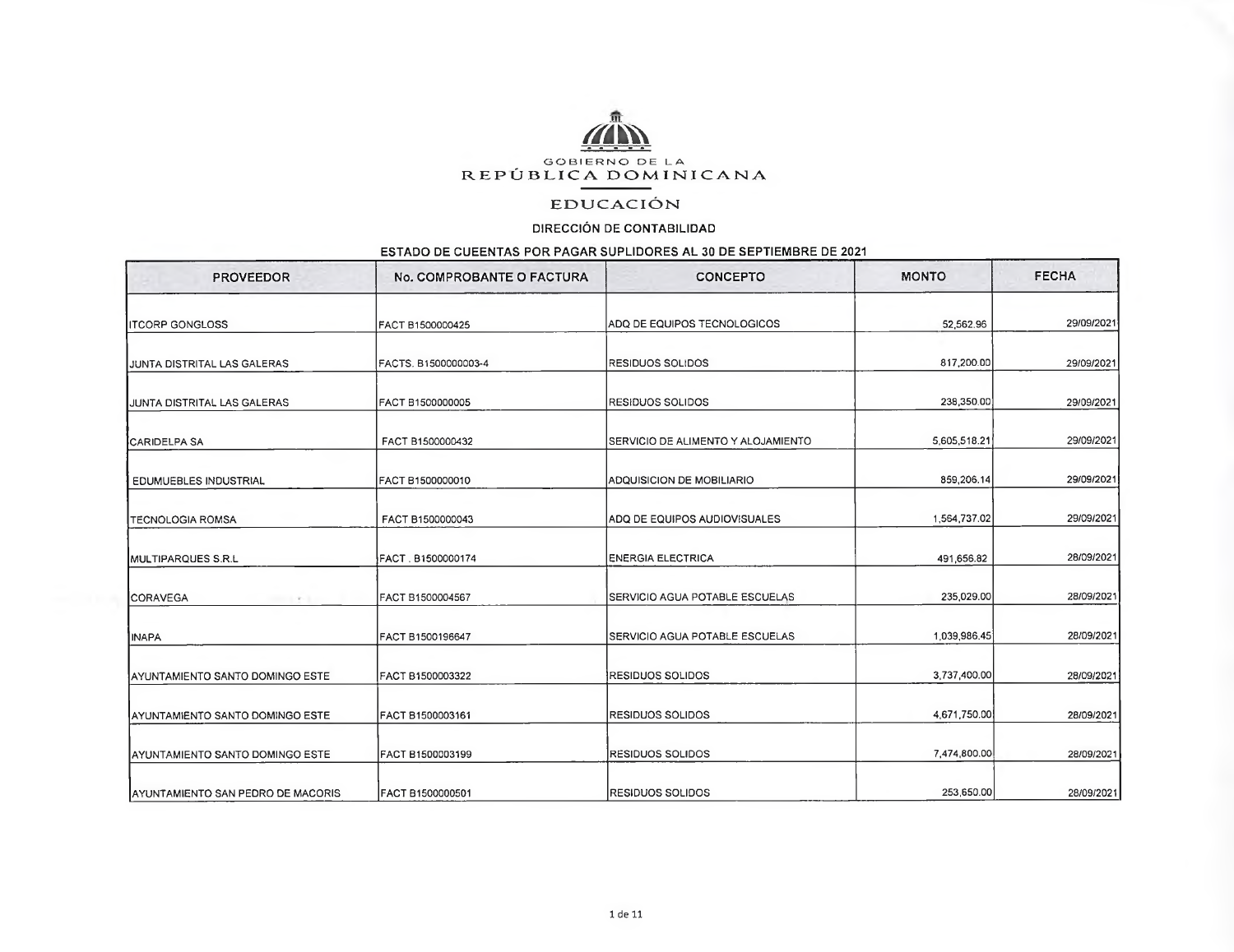

## **EDUCACIÓN**

## DIRECCIÓN DE CONTABILIDAD

## ESTADO DE CUEENTAS POR PAGAR SUPLIDORES AL 30 DE SEPTIEMBRE DE 2021

| <b>PROVEEDOR</b>                          | No. COMPROBANTE O FACTURA | <b>CONCEPTO</b>                    | <b>MONTO</b> | <b>FECHA</b> |
|-------------------------------------------|---------------------------|------------------------------------|--------------|--------------|
| <b>ITCORP GONGLOSS</b>                    | FACT B1500000425          | ADQ DE EQUIPOS TECNOLOGICOS        | 52,562.96    | 29/09/2021   |
| IJUNTA DISTRITAL LAS GALERAS              | FACTS. B1500000003-4      | <b>RESIDUOS SOLIDOS</b>            | 817,200.00   | 29/09/2021   |
| <b>JUNTA DISTRITAL LAS GALERAS</b>        | FACT B1500000005          | <b>RESIDUOS SOLIDOS</b>            | 238,350.00   | 29/09/2021   |
| <b>ICARIDELPA SA</b>                      | FACT B1500000432          | SERVICIO DE ALIMENTO Y ALOJAMIENTO | 5,605,518.21 | 29/09/2021   |
| <b>EDUMUEBLES INDUSTRIAL</b>              | FACT B1500000010          | ADQUISICION DE MOBILIARIO          | 859,206.14   | 29/09/2021   |
| <b>TECNOLOGIA ROMSA</b>                   | FACT B1500000043          | ADQ DE EQUIPOS AUDIOVISUALES       | 1,564,737.02 | 29/09/2021   |
| MULTIPARQUES S.R.L                        | FACT . B1500000174        | <b>ENERGIA ELECTRICA</b>           | 491,656.82   | 28/09/2021   |
| <b>ICORAVEGA</b><br><b>CONTRACTOR</b>     | FACT B1500004567          | SERVICIO AGUA POTABLE ESCUELAS     | 235,029.00   | 28/09/2021   |
| <b>IINAPA</b>                             | FACT B1500196647          | SERVICIO AGUA POTABLE ESCUELAS     | 1.039.986.45 | 28/09/2021   |
| AYUNTAMIENTO SANTO DOMINGO ESTE           | FACT B1500003322          | <b>RESIDUOS SOLIDOS</b>            | 3,737,400.00 | 28/09/2021   |
| AYUNTAMIENTO SANTO DOMINGO ESTE           | FACT B1500003161          | <b>RESIDUOS SOLIDOS</b>            | 4,671,750.00 | 28/09/2021   |
| AYUNTAMIENTO SANTO DOMINGO ESTE           | FACT B1500003199          | RESIDUOS SOLIDOS                   | 7,474,800.00 | 28/09/2021   |
| <b>JAYUNTAMIENTO SAN PEDRO DE MACORIS</b> | IFACT B1500000501         | IRESIDUOS SOLIDOS                  | 253,650.00   | 28/09/2021   |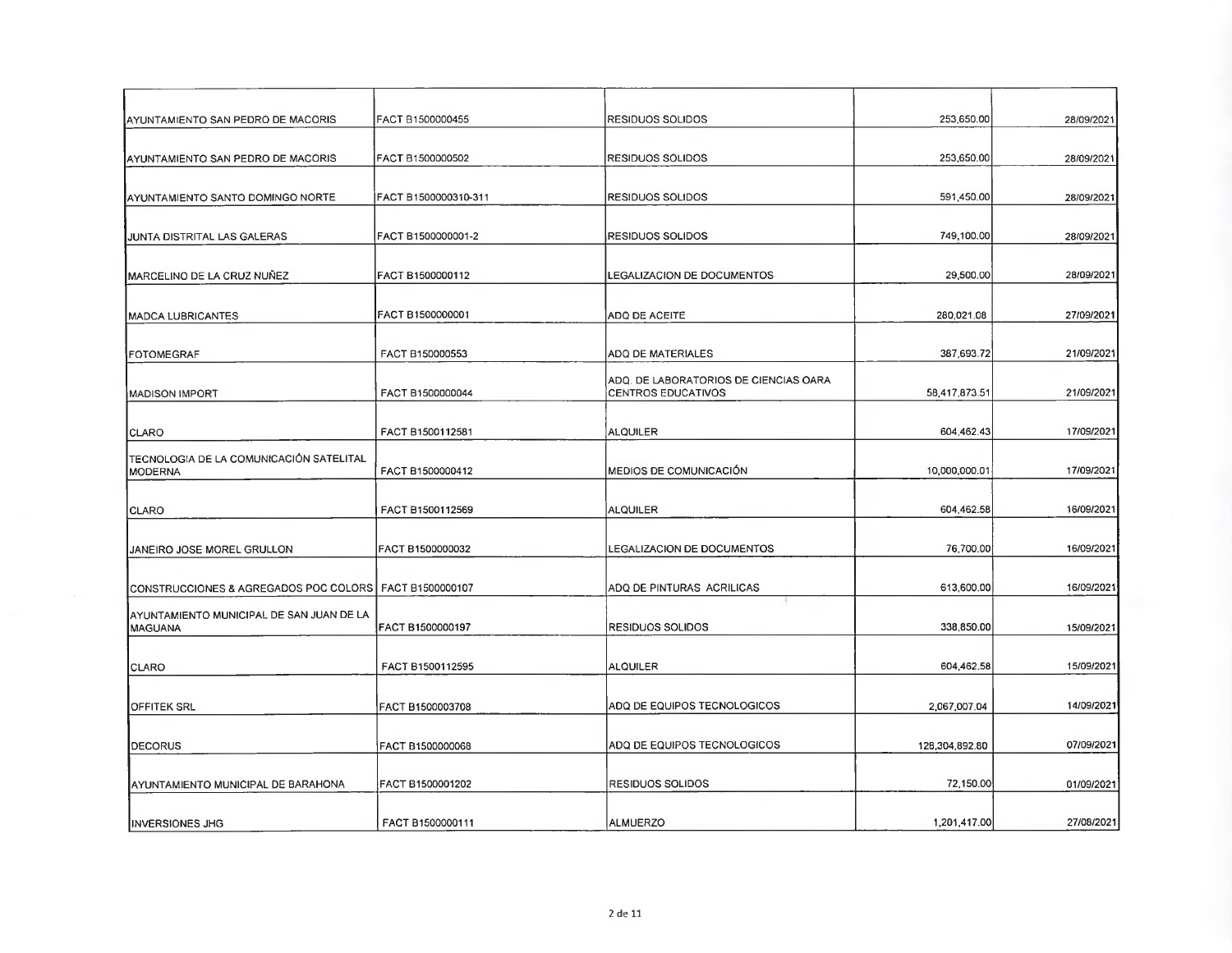| AYUNTAMIENTO SAN PEDRO DE MACORIS                        | FACT B1500000455     | <b>RESIDUOS SOLIDOS</b>                                     | 253,650.00     | 28/09/2021 |
|----------------------------------------------------------|----------------------|-------------------------------------------------------------|----------------|------------|
|                                                          |                      |                                                             |                |            |
| AYUNTAMIENTO SAN PEDRO DE MACORIS                        | FACT B1500000502     | <b>RESIDUOS SOLIDOS</b>                                     | 253,650.00     | 28/09/2021 |
| AYUNTAMIENTO SANTO DOMINGO NORTE                         | FACT B1500000310-311 | <b>RESIDUOS SOLIDOS</b>                                     | 591,450.00     | 28/09/2021 |
| IJUNTA DISTRITAL LAS GALERAS                             | FACT B1500000001-2   | <b>RESIDUOS SOLIDOS</b>                                     | 749,100.00     | 28/09/2021 |
| MARCELINO DE LA CRUZ NUÑEZ                               | FACT B1500000112     | LEGALIZACION DE DOCUMENTOS                                  | 29,500.00      | 28/09/2021 |
| MADCA LUBRICANTES                                        | FACT B1500000001     | ADQ DE ACEITE                                               | 280,021.08     | 27/09/2021 |
| FOTOMEGRAF                                               | FACT B150000553      | <b>ADQ DE MATERIALES</b>                                    | 387,693.72     | 21/09/2021 |
| MADISON IMPORT                                           | FACT B1500000044     | ADQ. DE LABORATORIOS DE CIENCIAS OARA<br>CENTROS EDUCATIVOS | 58,417,873.51  | 21/09/2021 |
| CLARO                                                    | FACT B1500112581     | ALQUILER                                                    | 604,462.43     | 17/09/2021 |
| TECNOLOGIA DE LA COMUNICACIÓN SATELITAL<br>MODERNA       | FACT B1500000412     | MEDIOS DE COMUNICACIÓN                                      | 10,000,000.01  | 17/09/2021 |
| CLARO                                                    | FACT B1500112569     | ALQUILER                                                    | 604,462.58     | 16/09/2021 |
| JANEIRO JOSE MOREL GRULLON                               | FACT B1500000032     | LEGALIZACION DE DOCUMENTOS                                  | 76,700.00      | 16/09/2021 |
| CONSTRUCCIONES & AGREGADOS POC COLORS   FACT B1500000107 |                      | ADQ DE PINTURAS ACRILICAS                                   | 613,600.00     | 16/09/2021 |
| AYUNTAMIENTO MUNICIPAL DE SAN JUAN DE LA<br>MAGUANA      | FACT B1500000197     | RESIDUOS SOLIDOS                                            | 338,850.00     | 15/09/2021 |
| <b>CLARO</b>                                             | FACT B1500112595     | <b>ALQUILER</b>                                             | 604,462.58     | 15/09/2021 |
| <b>OFFITEK SRL</b>                                       | FACT B1500003708     | ADQ DE EQUIPOS TECNOLOGICOS                                 | 2,067,007.04   | 14/09/2021 |
| <b>DECORUS</b>                                           | FACT B1500000068     | ADQ DE EQUIPOS TECNOLOGICOS                                 | 128,304,892.80 | 07/09/2021 |
| AYUNTAMIENTO MUNICIPAL DE BARAHONA                       | FACT B1500001202     | <b>RESIDUOS SOLIDOS</b>                                     | 72,150.00      | 01/09/2021 |
| <b>INVERSIONES JHG</b>                                   | FACT B1500000111     | <b>ALMUERZO</b>                                             | 1,201,417.00   | 27/08/2021 |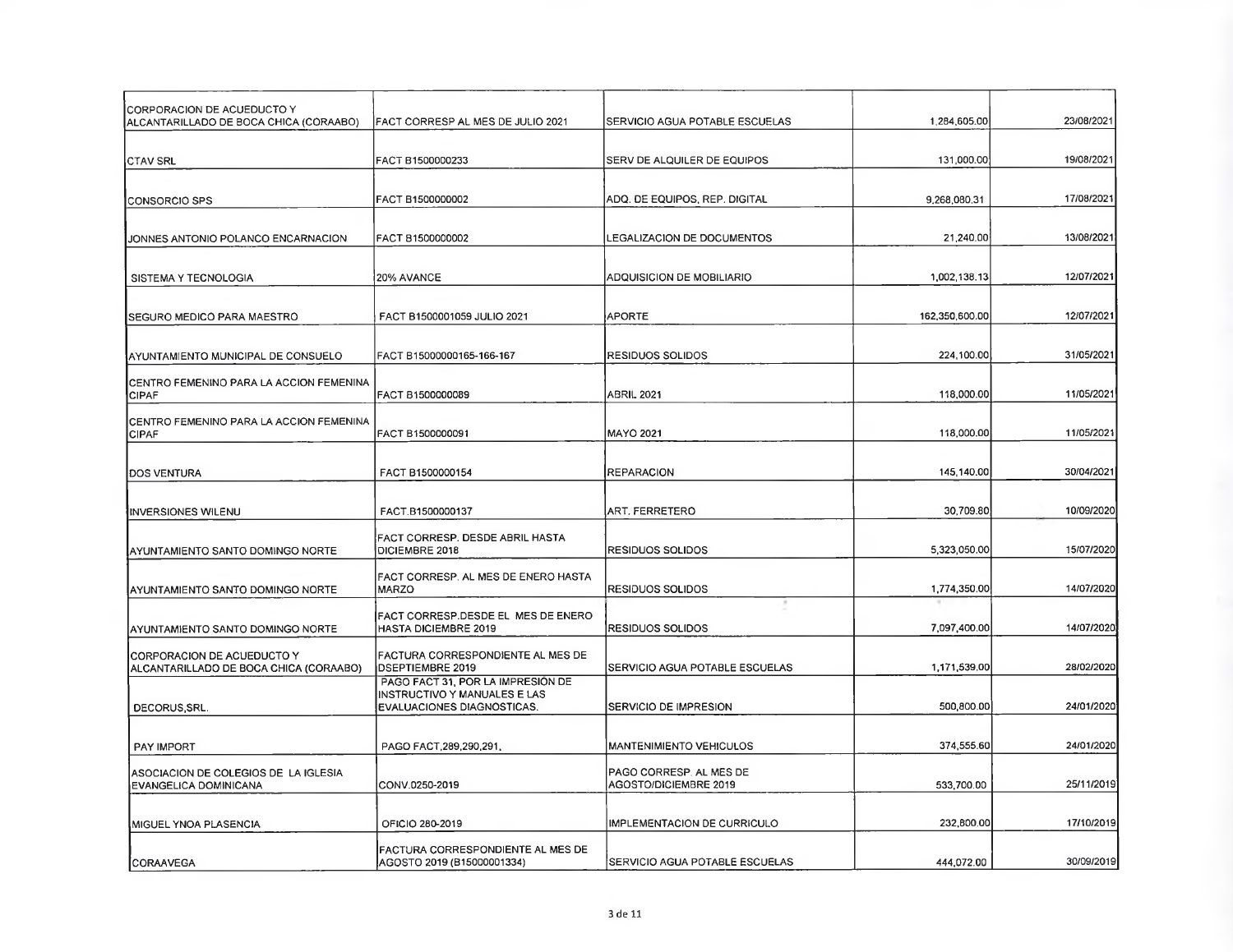| CORPORACION DE ACUEDUCTO Y<br>ALCANTARILLADO DE BOCA CHICA (CORAABO) | FACT CORRESP AL MES DE JULIO 2021                                                               | SERVICIO AGUA POTABLE ESCUELAS                   | 1.284,605.00   | 23/08/2021 |
|----------------------------------------------------------------------|-------------------------------------------------------------------------------------------------|--------------------------------------------------|----------------|------------|
| <b>CTAV SRL</b>                                                      | FACT B1500000233                                                                                | SERV DE ALQUILER DE EQUIPOS                      | 131,000.00     | 19/08/2021 |
| CONSORCIO SPS                                                        | FACT B1500000002                                                                                | ADQ. DE EQUIPOS, REP. DIGITAL                    | 9,268,080.31   | 17/08/2021 |
| JONNES ANTONIO POLANCO ENCARNACION                                   | FACT 81500000002                                                                                | LEGALIZACION DE DOCUMENTOS                       | 21,240.00      | 13/08/2021 |
| SISTEMA Y TECNOLOGIA                                                 | <b>20% AVANCE</b>                                                                               | ADQUISICION DE MOBILIARIO                        | 1,002,138.13   | 12/07/2021 |
| SEGURO MEDICÓ PARA MAESTRO                                           | FACT B1500001059 JULIO 2021                                                                     | <b>APORTE</b>                                    | 162,350,600.00 | 12/07/2021 |
| IAYUNTAMIENTO MUNICIPAL DE CONSUELO                                  | FACT B15000000165-166-167                                                                       | RESIDUOS SOLIDOS                                 | 224,100.00     | 31/05/2021 |
| ICENTRO FEMENINO PARA LA ACCION FEMENINA<br><b>CIPAF</b>             | FACT B1500000089                                                                                | <b>ABRIL 2021</b>                                | 118,000.00     | 11/05/2021 |
| ICENTRO FEMENINO PARA LA ACCION FEMENINA<br><b>CIPAF</b>             | FACT B1500000091                                                                                | <b>MAYO 2021</b>                                 | 118,000.00     | 11/05/2021 |
| DOS VENTURA                                                          | FACT B1500000154                                                                                | <b>REPARACION</b>                                | 145,140.00     | 30/04/2021 |
| <b>INVERSIONES WILENU</b>                                            | FACT.B1500000137                                                                                | ART. FERRETERO                                   | 30,709.80      | 10/09/2020 |
| AYUNTAMIENTO SANTO DOMINGO NORTE                                     | FACT CORRESP. DESDE ABRIL HASTA<br>DICIEMBRE 2018                                               | <b>RESIDUOS SOLIDOS</b>                          | 5,323,050.00   | 15/07/2020 |
| <b>IAYUNTAMIENTO SANTO DOMINGO NORTE</b>                             | FACT CORRESP. AL MES DE ENERO HASTA<br><b>MARZO</b>                                             | <b>RESIDUOS SOLIDOS</b>                          | 1,774,350.00   | 14/07/2020 |
| AYUNTAMIENTO SANTO DOMINGO NORTE                                     | FACT CORRESP.DESDE EL MES DE ENERO<br>HASTA DICIEMBRE 2019                                      | <b>RESIDUOS SOLIDOS</b>                          | 7,097,400.00   | 14/07/2020 |
| CORPORACION DE ACUEDUCTO Y<br>ALCANTARILLADO DE BOCA CHICA (CORAABO) | <b>FACTURA CORRESPONDIENTE AL MES DE</b><br><b>DSEPTIEMBRE 2019</b>                             | SERVICIO AGUA POTABLE ESCUELAS                   | 1,171,539.00   | 28/02/2020 |
| DECORUS, SRL.                                                        | PAGO FACT 31, POR LA IMPRESION DE<br>INSTRUCTIVO Y MANUALES E LAS<br>EVALUACIONES DIAGNOSTICAS. | <b>SERVICIO DE IMPRESION</b>                     | 500,800.00     | 24/01/2020 |
| <b>PAY IMPORT</b>                                                    | PAGO FACT, 289, 290, 291,                                                                       | <b>MANTENIMIENTO VEHICULOS</b>                   | 374,555.60     | 24/01/2020 |
| ASOCIACION DE COLEGIOS DE LA IGLESIA<br>EVANGELICA DOMINICANA        | CONV.0250-2019                                                                                  | PAGO CORRESP. AL MES DE<br>AGOSTO/DICIEMBRE 2019 | 533,700.00     | 25/11/2019 |
| MIGUEL YNOA PLASENCIA                                                | OFICIO 280-2019                                                                                 | IMPLEMENTACION DE CURRICULO                      | 232,800.00     | 17/10/2019 |
| <b>CORAAVEGA</b>                                                     | FACTURA CORRESPONDIENTE AL MES DE<br>AGOSTO 2019 (B15000001334)                                 | SERVICIO AGUA POTABLE ESCUELAS                   | 444,072.00     | 30/09/2019 |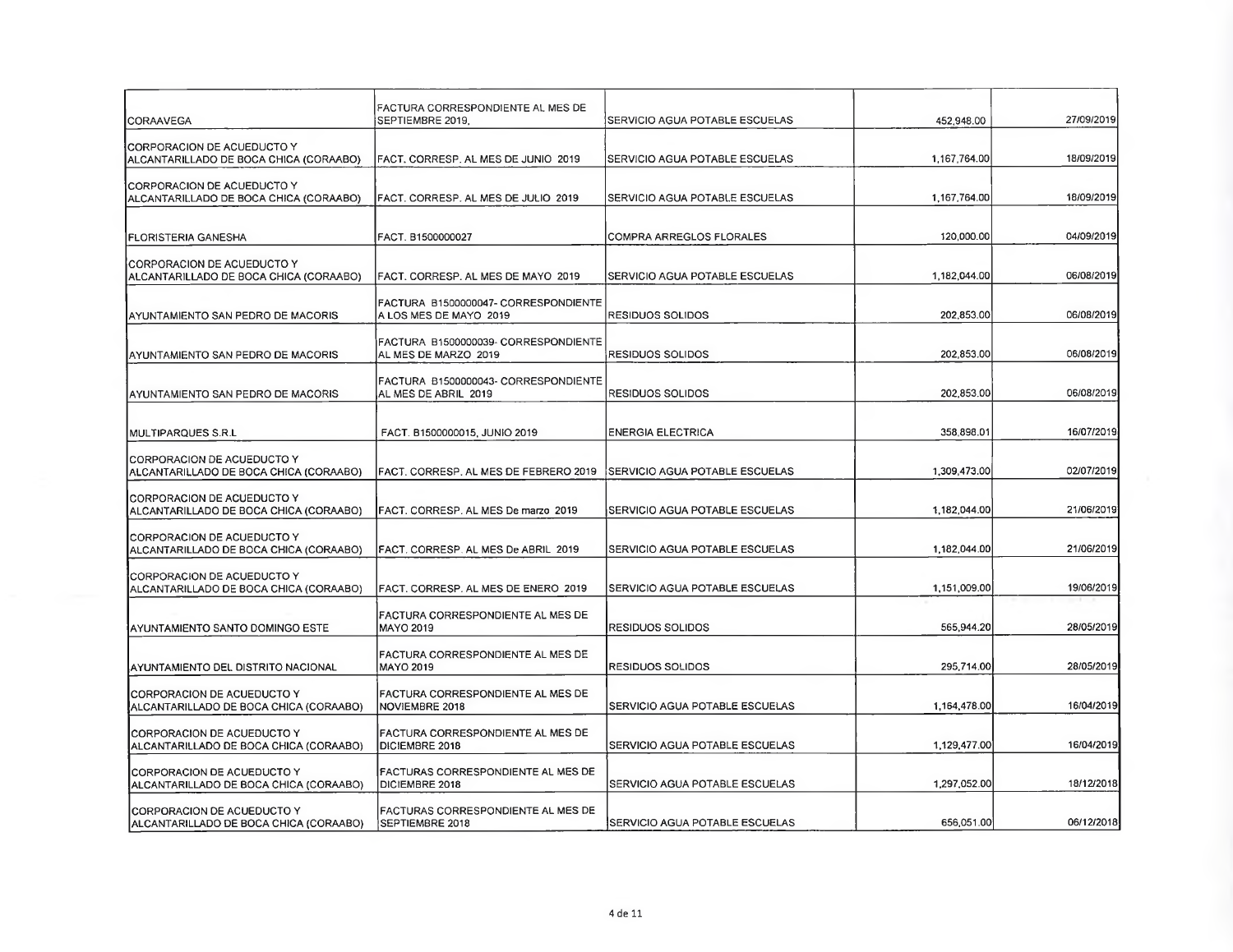| CORAAVEGA                                                             | <b>FACTURA CORRESPONDIENTE AL MES DE</b><br>SEPTIEMBRE 2019.             | SERVICIO AGUA POTABLE ESCUELAS         | 452,948.00   | 27/09/2019 |
|-----------------------------------------------------------------------|--------------------------------------------------------------------------|----------------------------------------|--------------|------------|
| CORPORACION DE ACUEDUCTO Y<br>ALCANTARILLADO DE BOCA CHICA (CORAABO)  | FACT, CORRESP. AL MES DE JUNIO 2019                                      | <b>ISERVICIO AGUA POTABLE ESCUELAS</b> | 1,167,764.00 | 18/09/2019 |
| CORPORACION DE ACUEDUCTO Y<br>ALCANTARILLADO DE BOCA CHICA (CORAABO)  | FACT. CORRESP. AL MES DE JULIO 2019                                      | SERVICIO AGUA POTABLE ESCUELAS         | 1,167,764.00 | 18/09/2019 |
| <b>FLORISTERIA GANESHA</b>                                            | FACT. B1500000027                                                        | COMPRA ARREGLOS FLORALES               | 120,000.00   | 04/09/2019 |
| CORPORACION DE ACUEDUCTO Y<br>ALCANTARILLADO DE BOCA CHICA (CORAABO)  | FACT. CORRESP. AL MES DE MAYO 2019                                       | SERVICIO AGUA POTABLE ESCUELAS         | 1,182,044.00 | 06/08/2019 |
| AYUNTAMIENTO SAN PEDRO DE MACORIS                                     | FACTURA B1500000047- CORRESPONDIENTE<br>A LOS MES DE MAYO 2019           | RESIDUOS SOLIDOS                       | 202,853.00   | 06/08/2019 |
| AYUNTAMIENTO SAN PEDRO DE MACORIS                                     | FACTURA B1500000039- CORRESPONDIENTE<br>AL MES DE MARZO 2019             | RESIDUOS SOLIDOS                       | 202,853.00   | 06/08/2019 |
| AYUNTAMIENTO SAN PEDRO DE MACORIS                                     | FACTURA B1500000043- CORRESPONDIENTE<br>AL MES DE ABRIL 2019             | <b>RESIDUOS SOLIDOS</b>                | 202,853.00   | 06/08/2019 |
| MULTIPARQUES S.R.L                                                    | FACT. B1500000015, JUNIO 2019                                            | <b>ENERGIA ELECTRICA</b>               | 358,898.01   | 16/07/2019 |
| ICORPORACION DE ACUEDUCTO Y<br>ALCANTARILLADO DE BOCA CHICA (CORAABO) | FACT. CORRESP. AL MES DE FEBRERO 2019                                    | SERVICIO AGUA POTABLE ESCUELAS         | 1,309,473.00 | 02/07/2019 |
| CORPORACION DE ACUEDUCTO Y                                            |                                                                          | SERVICIO AGUA POTABLE ESCUELAS         | 1,182,044.00 | 21/06/2019 |
| ALCANTARILLADO DE BOCA CHICA (CORAABO)<br>ICORPORACION DE ACUEDUCTO Y | FACT. CORRESP. AL MES De marzo 2019                                      |                                        |              |            |
| ALCANTARILLADO DE BOCA CHICA (CORAABO)<br>CORPORACION DE ACUEDUCTO Y  | FACT, CORRESP. AL MES De ABRIL 2019                                      | SERVICIO AGUA POTABLE ESCUELAS         | 1,182,044.00 | 21/06/2019 |
| ALCANTARILLADO DE BOCA CHICA (CORAABO)                                | FACT. CORRESP. AL MES DE ENERO 2019<br>FACTURA CORRESPONDIENTE AL MES DE | SERVICIO AGUA POTABLE ESCUELAS         | 1,151,009.00 | 19/06/2019 |
| AYUNTAMIENTO SANTO DOMINGO ESTE                                       | MAYO 2019                                                                | IRESIDUOS SOLIDOS                      | 565,944.20   | 28/05/2019 |
| IAYUNTAMIENTO DEL DISTRITO NACIONAL                                   | FACTURA CORRESPONDIENTE AL MES DE<br><b>MAYO 2019</b>                    | <b>RESIDUOS SOLIDOS</b>                | 295,714.00   | 28/05/2019 |
| CORPORACION DE ACUEDUCTO Y<br>ALCANTARILLADO DE BOCA CHICA (CORAABO)  | FACTURA CORRESPONDIENTE AL MES DE<br>NOVIEMBRE 2018                      | SERVICIO AGUA POTABLE ESCUELAS         | 1,164,478.00 | 16/04/2019 |
| CORPORACION DE ACUEDUCTO Y<br>ALCANTARILLADO DE BOCA CHICA (CORAABO)  | FACTURA CORRESPONDIENTE AL MES DE<br>DICIEMBRE 2018                      | SERVICIO AGUA POTABLE ESCUELAS         | 1,129,477.00 | 16/04/2019 |
| CORPORACION DE ACUEDUCTO Y<br>ALCANTARILLADO DE BOCA CHICA (CORAABO)  | FACTURAS CORRESPONDIENTE AL MES DE<br><b>DICIEMBRE 2018</b>              | SERVICIO AGUA POTABLE ESCUELAS         | 1,297,052.00 | 18/12/2018 |
| CORPORACION DE ACUEDUCTO Y<br>ALCANTARILLADO DE BOCA CHICA (CORAABO)  | FACTURAS CORRESPONDIENTE AL MES DE<br>SEPTIEMBRE 2018                    | <b>SERVICIO AGUA POTABLE ESCUELAS</b>  | 656,051.00   | 06/12/2018 |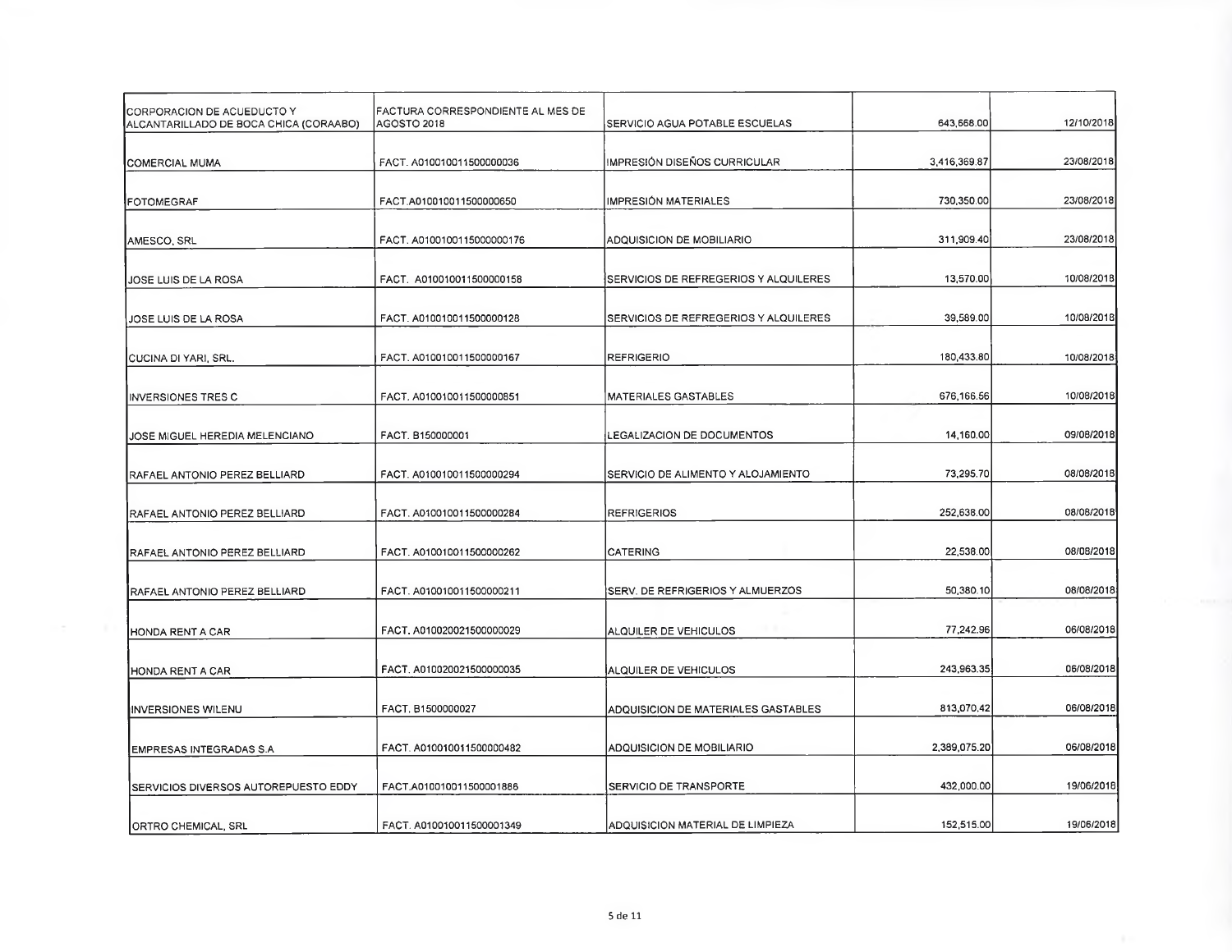| CORPORACION DE ACUEDUCTO Y<br>ALCANTARILLADO DE BOCA CHICA (CORAABO) | FACTURA CORRESPONDIENTE AL MES DE<br>AGOSTO 2018 | SERVICIO AGUA POTABLE ESCUELAS        | 643,668.00   | 12/10/2018 |
|----------------------------------------------------------------------|--------------------------------------------------|---------------------------------------|--------------|------------|
| COMERCIAL MUMA                                                       | FACT. A010010011500000036                        | IMPRESIÓN DISEÑOS CURRICULAR          | 3,416,369.87 | 23/08/2018 |
| FOTOMEGRAF                                                           | FACT.A010010011500000650                         | IMPRESIÓN MATERIALES                  | 730,350.00   | 23/08/2018 |
| AMESCO SRL                                                           | FACT. A0100100115000000176                       | ADQUISICION DE MOBILIARIO             | 311,909.40   | 23/08/2018 |
| JOSE LUIS DE LA ROSA                                                 | FACT. A010010011500000158                        | SERVICIOS DE REFREGERIOS Y ALQUILERES | 13,570.00    | 10/08/2018 |
| JOSE LUIS DE LA ROSA                                                 | FACT. A010010011500000128                        | SERVICIOS DE REFREGERIOS Y ALQUILERES | 39,589.00    | 10/08/2018 |
| CUCINA DI YARI, SRL.                                                 | FACT. A010010011500000167                        | <b>REFRIGERIO</b>                     | 180,433.80   | 10/08/2018 |
| INVERSIONES TRES C                                                   | FACT. A010010011500000851                        | MATERIALES GASTABLES                  | 676,166.56   | 10/08/2018 |
| JOSE MIGUEL HEREDIA MELENCIANO                                       | FACT. B150000001                                 | LEGALIZACION DE DOCUMENTOS            | 14,160.00    | 09/08/2018 |
| RAFAEL ANTONIO PEREZ BELLIARD                                        | FACT. A010010011500000294                        | SERVICIO DE ALIMENTO Y ALOJAMIENTO    | 73,295.70    | 08/08/2018 |
| RAFAEL ANTONIO PEREZ BELLIARD                                        | FACT. A010010011500000284                        | <b>REFRIGERIOS</b>                    | 252,638.00   | 08/08/2018 |
| RAFAEL ANTONIO PEREZ BELLIARD                                        | FACT. A010010011500000262                        | <b>CATERING</b>                       | 22,538.00    | 08/08/2018 |
| RAFAEL ANTONIO PEREZ BELLIARD                                        | FACT. A010010011500000211                        | SERV. DE REFRIGERIOS Y ALMUERZOS      | 50,380.10    | 08/08/2018 |
| HONDA RENT A CAR                                                     | FACT, A010020021500000029                        | ALQUILER DE VEHICULOS                 | 77,242.96    | 06/08/2018 |
| HONDA RENT A CAR                                                     | FACT. A0100200215000000035                       | ALQUILER DE VEHICULOS                 | 243,963.35   | 06/08/2018 |
| <b>INVERSIONES WILENU</b>                                            | FACT. B1500000027                                | ADQUISICION DE MATERIALES GASTABLES   | 813,070.42   | 06/08/2018 |
| EMPRESAS INTEGRADAS S.A                                              | FACT. A010010011500000482                        | ADQUISICION DE MOBILIARIO             | 2,389,075.20 | 06/08/2016 |
| SERVICIOS DIVERSOS AUTOREPUESTO EDDY                                 | FACT, A010010011500001886                        | SERVICIO DE TRANSPORTE                | 432,000.00   | 19/06/2018 |
| ORTRO CHEMICAL, SRL                                                  | FACT. A010010011500001349                        | ADQUISICION MATERIAL DE LIMPIEZA      | 152,515.00   | 19/06/2018 |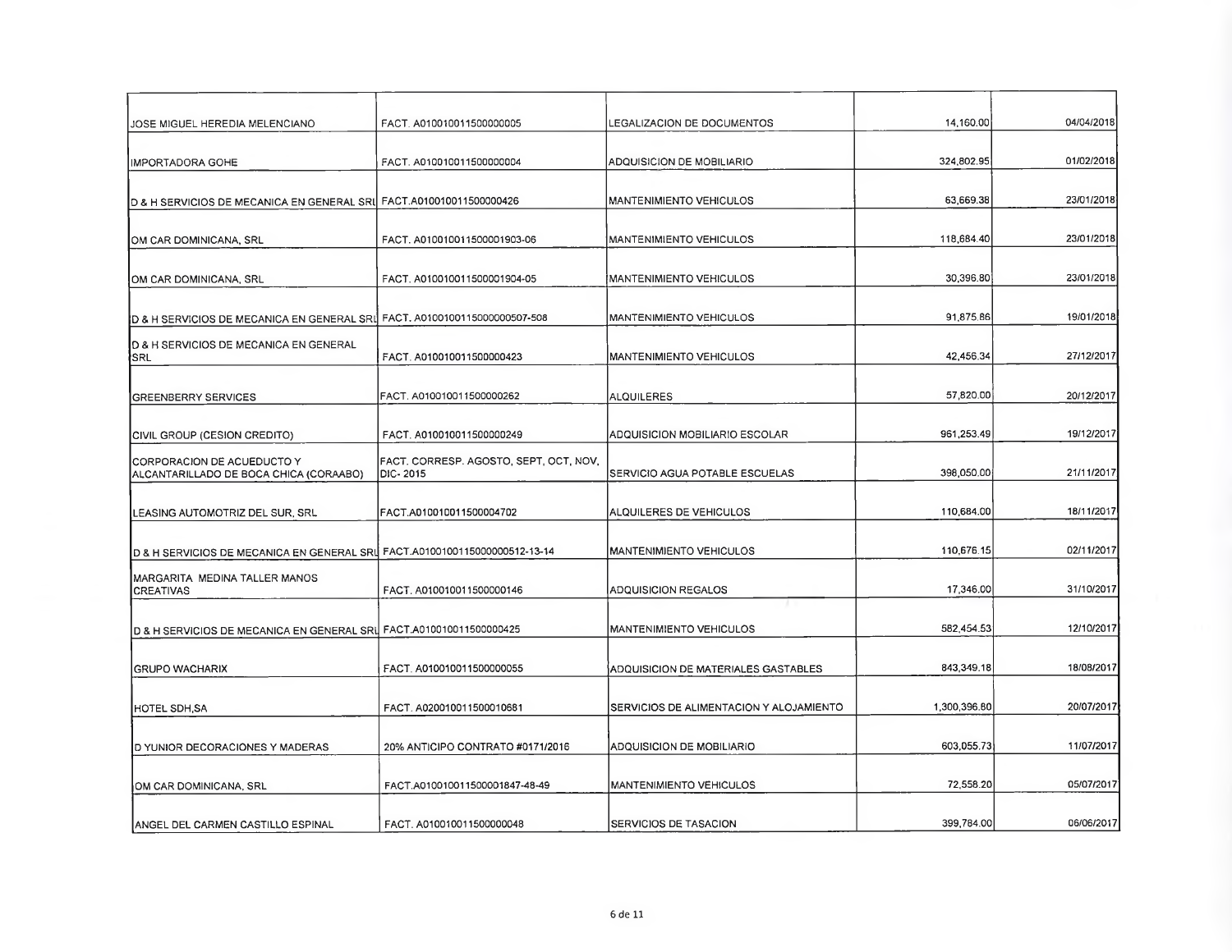| JOSE MIGUEL HEREDIA MELENCIANO                                             | FACT. A010010011500000005                          | LEGALIZACION DE DOCUMENTOS              | 14,160.00    | 04/04/2018 |
|----------------------------------------------------------------------------|----------------------------------------------------|-----------------------------------------|--------------|------------|
| <b>IMPORTADORA GOHE</b>                                                    | FACT. A010010011500000004                          | ADQUISICION DE MOBILIARIO               | 324,802.95   | 01/02/2018 |
| D & H SERVICIOS DE MECANICA EN GENERAL SRI FACT.A010010011500000426        |                                                    | <b>MANTENIMIENTO VEHICULOS</b>          | 63,669.38    | 23/01/2018 |
| OM CAR DOMINICANA, SRL                                                     | FACT. A010010011500001903-06                       | MANTENIMIENTO VEHICULOS                 | 118,684.40   | 23/01/2018 |
| OM CAR DOMINICANA, SRL                                                     | FACT. A010010011500001904-05                       | MANTENIMIENTO VEHICULOS                 | 30,396.80    | 23/01/2018 |
| D & H SERVICIOS DE MECANICA EN GENERAL SRI FACT. A0100100115000000507-508  |                                                    | MANTENIMIENTO VEHICULOS                 | 91,875.86    | 19/01/2018 |
| <b>ID &amp; H SERVICIOS DE MECANICA EN GENERAL</b><br>∤SRL                 | FACT. A010010011500000423                          | MANTENIMIENTO VEHICULOS                 | 42,456.34    | 27/12/2017 |
| <b>GREENBERRY SERVICES</b>                                                 | FACT. A010010011500000262                          | <b>ALQUILERES</b>                       | 57,820.00    | 20/12/2017 |
| CIVIL GROUP (CESION CREDITO)                                               | FACT. A010010011500000249                          | ADQUISICION MOBILIARIO ESCOLAR          | 961,253.49   | 19/12/2017 |
| ICORPORACION DE ACUEDUCTO Y<br>ALCANTARILLADO DE BOCA CHICA (CORAABO)      | FACT. CORRESP. AGOSTO, SEPT, OCT, NOV,<br>DIC-2015 | SERVICIO AGUA POTABLE ESCUELAS          | 398,050.00   | 21/11/2017 |
| LEASING AUTOMOTRIZ DEL SUR, SRL                                            | FACT.A010010011500004702                           | ALQUILERES DE VEHICULOS                 | 110,684.00   | 18/11/2017 |
| D & H SERVICIOS DE MECANICA EN GENERAL SRL FACT.A0100100115000000512-13-14 |                                                    | <b>MANTENIMIENTO VEHICULOS</b>          | 110,676.15   | 02/11/2017 |
| MARGARITA MEDINA TALLER MANOS<br><b>CREATIVAS</b>                          | FACT. A010010011500000146                          | ADQUISICION REGALOS                     | 17,346.00    | 31/10/2017 |
| D & H SERVICIOS DE MECANICA EN GENERAL SRI FACT.A010010011500000425        |                                                    | <b>MANTENIMIENTO VEHICULOS</b>          | 582,454.53   | 12/10/2017 |
| <b>GRUPO WACHARIX</b>                                                      | FACT. A010010011500000055                          | ADQUISICION DE MATERIALES GASTABLES     | 843,349.18   | 18/08/2017 |
| <b>HOTEL SDH SA</b>                                                        | FACT. A020010011500010681                          | SERVICIOS DE ALIMENTACION Y ALOJAMIENTO | 1,300,396.80 | 20/07/2017 |
| D YUNIOR DECORACIONES Y MADERAS                                            | 20% ANTICIPO CONTRATO #0171/2016                   | ADQUISICION DE MOBILIARIO               | 603,055.73   | 11/07/2017 |
| OM CAR DOMINICANA, SRL                                                     | FACT.A010010011500001847-48-49                     | <b>MANTENIMIENTO VEHICULOS</b>          | 72,558.20    | 05/07/2017 |
| ANGEL DEL CARMEN CASTILLO ESPINAL                                          | FACT. A010010011500000048                          | <b>SERVICIOS DE TASACION</b>            | 399,784.00   | 06/06/2017 |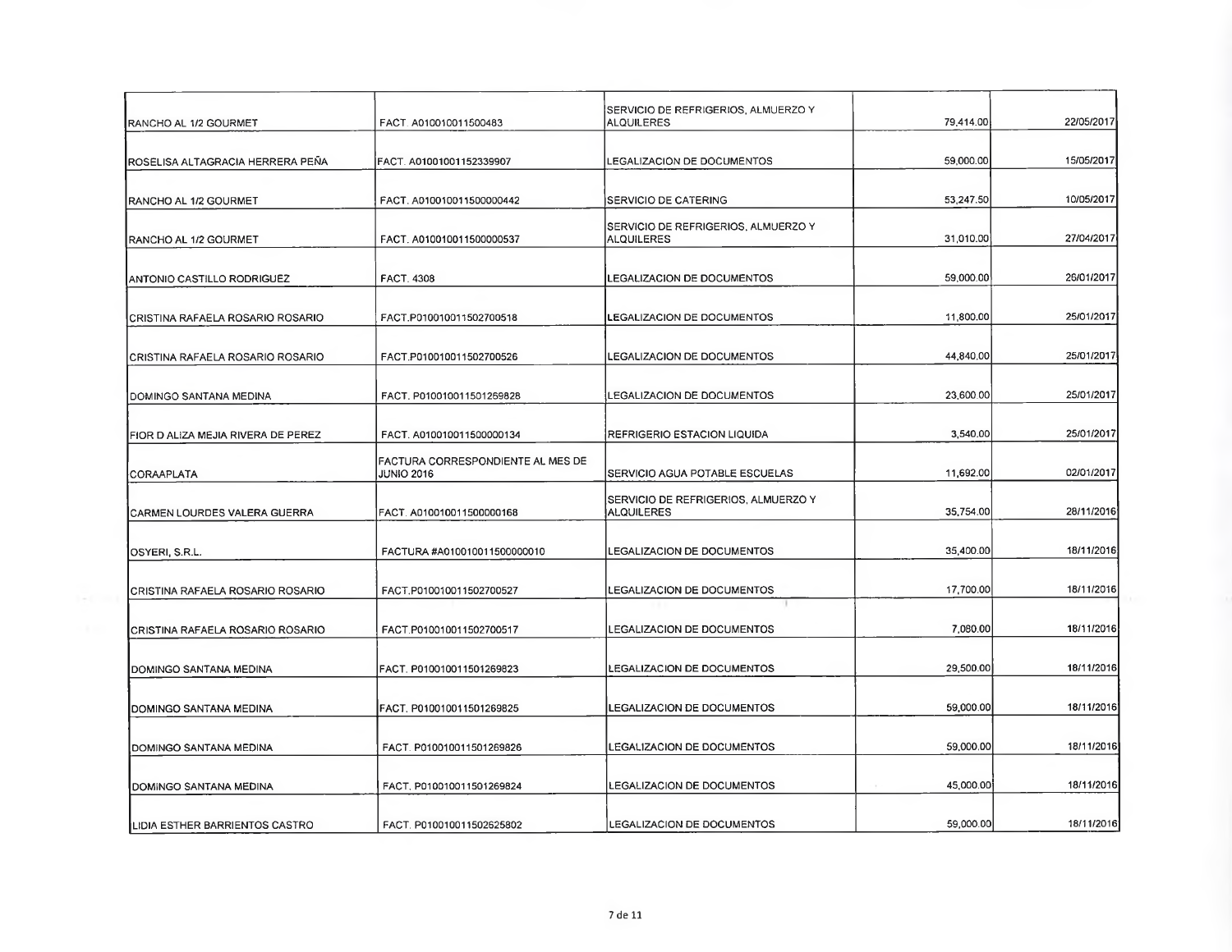| RANCHO AL 1/2 GOURMET              | FACT. A010010011500483                                 | SERVICIO DE REFRIGERIOS, ALMUERZO Y<br>ALQUILERES        | 79,414.00 | 22/05/2017 |
|------------------------------------|--------------------------------------------------------|----------------------------------------------------------|-----------|------------|
| IROSELISA ALTAGRACIA HERRERA PEÑA  | FACT. A01001001152339907                               | LEGALIZACION DE DOCUMENTOS                               | 59,000.00 | 15/05/2017 |
| RANCHO AL 1/2 GOURMET              | FACT. A010010011500000442                              | <b>SERVICIO DE CATERING</b>                              | 53,247.50 | 10/05/2017 |
| RANCHO AL 1/2 GOURMET              | FACT. A010010011500000537                              | SERVICIO DE REFRIGERIOS, ALMUERZO Y<br>ALQUILERES        | 31,010.00 | 27/04/2017 |
| ANTONIO CASTILLO RODRIGUEZ         | <b>FACT. 4308</b>                                      | LEGALIZACION DE DOCUMENTOS                               | 59,000.00 | 26/01/2017 |
| CRISTINA RAFAELA ROSARIO ROSARIO   | FACT.P010010011502700518                               | LEGALIZACION DE DOCUMENTOS                               | 11,800.00 | 25/01/2017 |
| CRISTINA RAFAELA ROSARIO ROSARIO   | FACT.P010010011502700526                               | LEGALIZACION DE DOCUMENTOS                               | 44,840.00 | 25/01/2017 |
| DOMINGO SANTANA MEDINA             | FACT, P010010011501269828                              | LEGALIZACION DE DOCUMENTOS                               | 23,600.00 | 25/01/2017 |
| FIOR D ALIZA MEJIA RIVERA DE PEREZ | FACT. A010010011500000134                              | REFRIGERIO ESTACION LIQUIDA                              | 3,540.00  | 25/01/2017 |
| CORAAPLATA                         | FACTURA CORRESPONDIENTE AL MES DE<br><b>JUNIO 2016</b> | SERVICIO AGUA POTABLE ESCUELAS                           | 11,692.00 | 02/01/2017 |
| CARMEN LOURDES VALERA GUERRA       | FACT. A010010011500000168                              | SERVICIO DE REFRIGERIOS, ALMUERZO Y<br><b>ALQUILERES</b> | 35,754.00 | 28/11/2016 |
| OSYERI, S.R.L.                     | FACTURA #A010010011500000010                           | LEGALIZACION DE DOCUMENTOS                               | 35,400.00 | 18/11/2016 |
| CRISTINA RAFAELA ROSARIO ROSARIO   | FACT.P010010011502700527                               | LEGALIZACION DE DOCUMENTOS                               | 17,700.00 | 18/11/2016 |
| CRISTINA RAFAELA ROSARIO ROSARIO   | FACT.P010010011502700517                               | LEGALIZACION DE DOCUMENTOS                               | 7,080.00  | 18/11/2016 |
| DOMINGO SANTANA MEDINA             | FACT. P010010011501269823                              | LEGALIZACION DE DOCUMENTOS                               | 29,500.00 | 18/11/2016 |
| DOMINGO SANTANA MEDINA             | FACT. P010010011501269825                              | LEGALIZACION DE DOCUMENTOS                               | 59,000.00 | 18/11/2016 |
| DOMINGO SANTANA MEDINA             | FACT. P010010011501269826                              | LEGALIZACION DE DOCUMENTOS                               | 59,000.00 | 18/11/2016 |
| DOMINGO SANTANA MEDINA             | FACT. P010010011501269824                              | LEGALIZACION DE DOCUMENTOS                               | 45,000.00 | 18/11/2016 |
| LIDIA ESTHER BARRIENTOS CASTRO     | FACT. P010010011502625802                              | LEGALIZACION DE DOCUMENTOS                               | 59,000.00 | 18/11/2016 |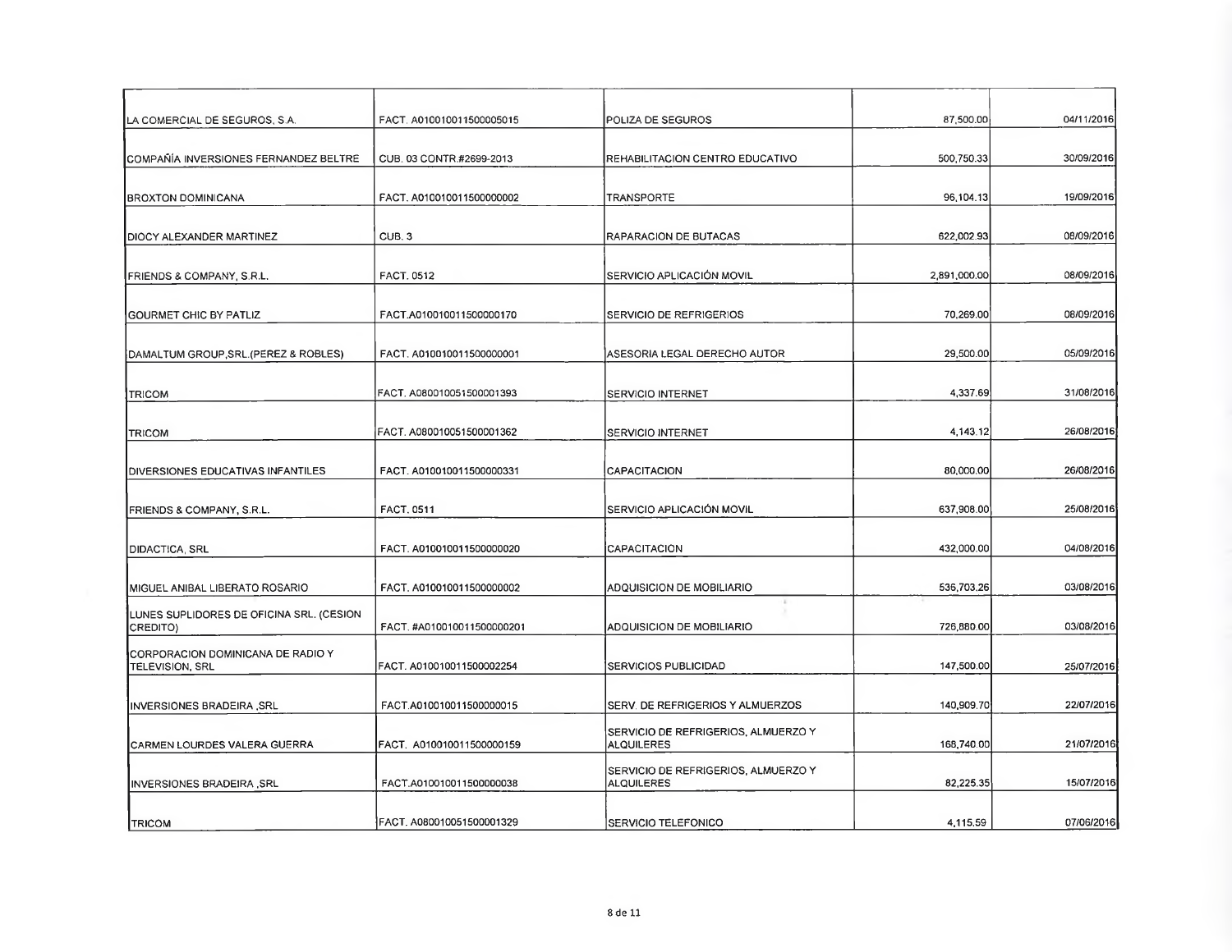| ∣LA COMERCIAL DE SEGUROS, S.A.                              | FACT. A010010011500005015  | POLIZA DE SEGUROS                                        | 87,500.00    | 04/11/2016 |
|-------------------------------------------------------------|----------------------------|----------------------------------------------------------|--------------|------------|
| ICOMPAÑÍA INVERSIONES FERNANDEZ BELTRE                      | CUB. 03 CONTR #2699-2013   | IREHABILITACION CENTRO EDUCATIVO                         | 500,750.33   | 30/09/2016 |
| BROXTON DOMINICANA                                          | FACT, A010010011500000002  | <b>TRANSPORTE</b>                                        | 96,104.13    | 19/09/2016 |
| DIOCY ALEXANDER MARTINEZ                                    | CUB. <sub>3</sub>          | RAPARACION DE BUTACAS                                    | 622,002.93   | 08/09/2016 |
| FRIENDS & COMPANY, S.R.L.                                   | <b>FACT, 0512</b>          | SERVICIO APLICACIÓN MOVIL                                | 2,891,000,00 | 08/09/2016 |
| <b>IGOURMET CHIC BY PATLIZ</b>                              | FACT.A010010011500000170   | SERVICIO DE REFRIGERIOS                                  | 70,269.00    | 08/09/2016 |
| DAMALTUM GROUP, SRL. (PEREZ & ROBLES)                       | FACT. A010010011500000001  | ASESORIA LEGAL DERECHO AUTOR                             | 29,500.00    | 05/09/2016 |
| <b>TRICOM</b>                                               | FACT, A080010051500001393  | SERVICIO INTERNET                                        | 4,337.69     | 31/08/2016 |
| <b>TRICOM</b>                                               | FACT. A080010051500001362  | SERVICIO INTERNET                                        | 4,143.12     | 26/08/2016 |
| DIVERSIONES EDUCATIVAS INFANTILES                           | FACT. A010010011500000331  | <b>CAPACITACION</b>                                      | 80,000.00    | 26/08/2016 |
| FRIENDS & COMPANY, S.R.L.                                   | <b>FACT, 0511</b>          | SERVICIO APLICACIÓN MOVIL                                | 637,908.00   | 25/08/2016 |
| <b>DIDACTICA, SRL</b>                                       | FACT. A010010011500000020  | <b>CAPACITACION</b>                                      | 432,000.00   | 04/08/2016 |
| MIGUEL ANIBAL LIBERATO ROSARIO                              | FACT, A010010011500000002  | ADQUISICION DE MOBILIARIO                                | 536,703.26   | 03/08/2016 |
| LUNES SUPLIDORES DE OFICINA SRL. (CESION<br>CREDITO)        | FACT. #A010010011500000201 | ADQUISICION DE MOBILIARIO                                | 726,880.00   | 03/08/2016 |
| CORPORACION DOMINICANA DE RADIO Y<br><b>TELEVISION, SRL</b> | FACT. A010010011500002254  | SERVICIOS PUBLICIDAD                                     | 147,500.00   | 25/07/2016 |
| INVERSIONES BRADEIRA, SRL                                   | FACT.A010010011500000015   | SERV. DE REFRIGERIOS Y ALMUERZOS                         | 140,909.70   | 22/07/2016 |
| CARMEN LOURDES VALERA GUERRA                                | FACT. A010010011500000159  | SERVICIO DE REFRIGERIOS, ALMUERZO Y<br><b>ALQUILERES</b> | 168,740.00   | 21/07/2016 |
| INVERSIONES BRADEIRA , SRL                                  | FACT, A010010011500000038  | SERVICIO DE REFRIGERIOS, ALMUERZO Y<br>ALQUILERES        | 82,225.35    | 15/07/2016 |
| <b>TRICOM</b>                                               | FACT. A080010051500001329  | SERVICIO TELEFONICO                                      | 4,115.59     | 07/06/2016 |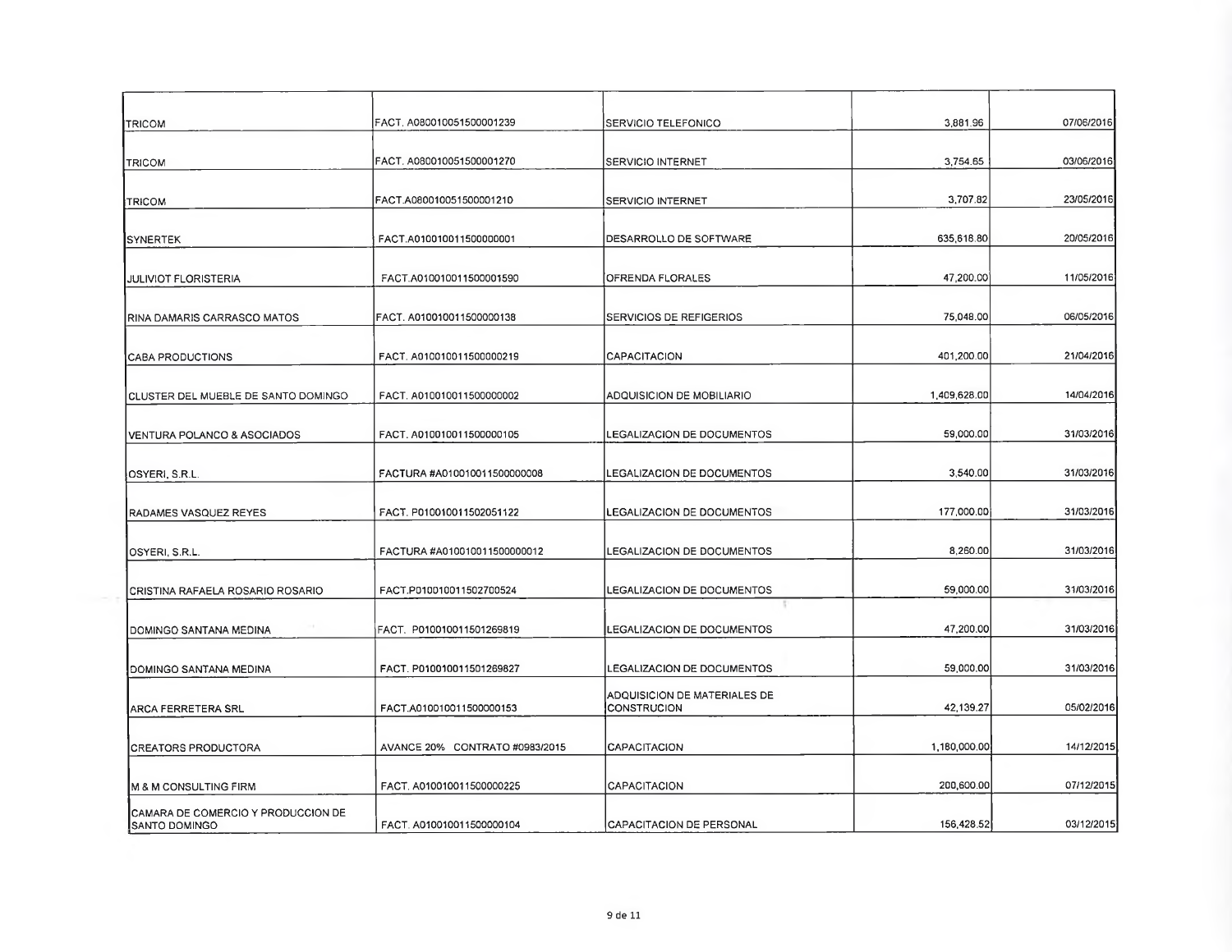| TRICOM                                                        | FACT. A080010051500001239      | <b>SERVICIO TELEFONICO</b>                  | 3,881.96     | 07/06/2016 |
|---------------------------------------------------------------|--------------------------------|---------------------------------------------|--------------|------------|
| <b>TRICOM</b>                                                 | FACT. A080010051500001270      | SERVICIO INTERNET                           | 3,754.65     | 03/06/2016 |
| <b>TRICOM</b>                                                 | FACT.A080010051500001210       | SERVICIO INTERNET                           | 3,707.82     | 23/05/2016 |
| <b>SYNERTEK</b>                                               | FACT.A010010011500000001       | DESARROLLO DE SOFTWARE                      | 635,618.80   | 20/05/2016 |
| <b>JULIVIOT FLORISTERIA</b>                                   | FACT.A010010011500001590       | OFRENDA FLORALES                            | 47,200.00    | 11/05/2016 |
| RINA DAMARIS CARRASCO MATOS                                   | FACT. A010010011500000138      | SERVICIOS DE REFIGERIOS                     | 75,048.00    | 06/05/2016 |
| CABA PRODUCTIONS                                              | FACT. A010010011500000219      | CAPACITACION                                | 401,200.00   | 21/04/2016 |
| CLUSTER DEL MUEBLE DE SANTO DOMINGO                           | FACT. A010010011500000002      | ADQUISICION DE MOBILIARIO                   | 1,409,628.00 | 14/04/2016 |
| VENTURA POLANCO & ASOCIADOS                                   | FACT. A010010011500000105      | LEGALIZACION DE DOCUMENTOS                  | 59,000.00    | 31/03/2016 |
| OSYERI, S.R.L.                                                | FACTURA #A010010011500000008   | LEGALIZACIÓN DE DOCUMENTOS                  | 3,540.00     | 31/03/2016 |
| RADAMES VASQUEZ REYES                                         | FACT. P010010011502051122      | LEGALIZACION DE DOCUMENTOS                  | 177,000.00   | 31/03/2016 |
| OSYERI, S.R.L.                                                | FACTURA #A010010011500000012   | LEGALIZACION DE DOCUMENTOS                  | 8,260.00     | 31/03/2016 |
| CRISTINA RAFAELA ROSARIO ROSARIO                              | FACT.P010010011502700524       | LEGALIZACION DE DOCUMENTOS                  | 59,000.00    | 31/03/2016 |
| DOMINGO SANTANA MEDINA                                        | FACT. P010010011501269819      | LEGALIZACION DE DOCUMENTOS                  | 47,200.00    | 31/03/2016 |
| DOMINGO SANTANA MEDINA                                        | FACT. P010010011501269827      | <b>LEGALIZACION DE DOCUMENTOS</b>           | 59,000.00    | 31/03/2016 |
| ARCA FERRETERA SRL                                            | FACT.A010010011500000153       | ADQUISICION DE MATERIALES DE<br>CONSTRUCION | 42.139.27    | 05/02/2016 |
| <b>CREATORS PRODUCTORA</b>                                    | AVANCE 20% CONTRATO #0983/2015 | <b>CAPACITACION</b>                         | 1,180,000.00 | 14/12/2015 |
| <b>M &amp; M CONSULTING FIRM</b>                              | FACT. A010010011500000225      | <b>CAPACITACION</b>                         | 200,600.00   | 07/12/2015 |
| ICAMARA DE COMERCIO Y PRODUCCION DE<br><b>I</b> SANTO DOMINGO | FACT. A010010011500000104      | <b>CAPACITACION DE PERSONAL</b>             | 156,428.52   | 03/12/2015 |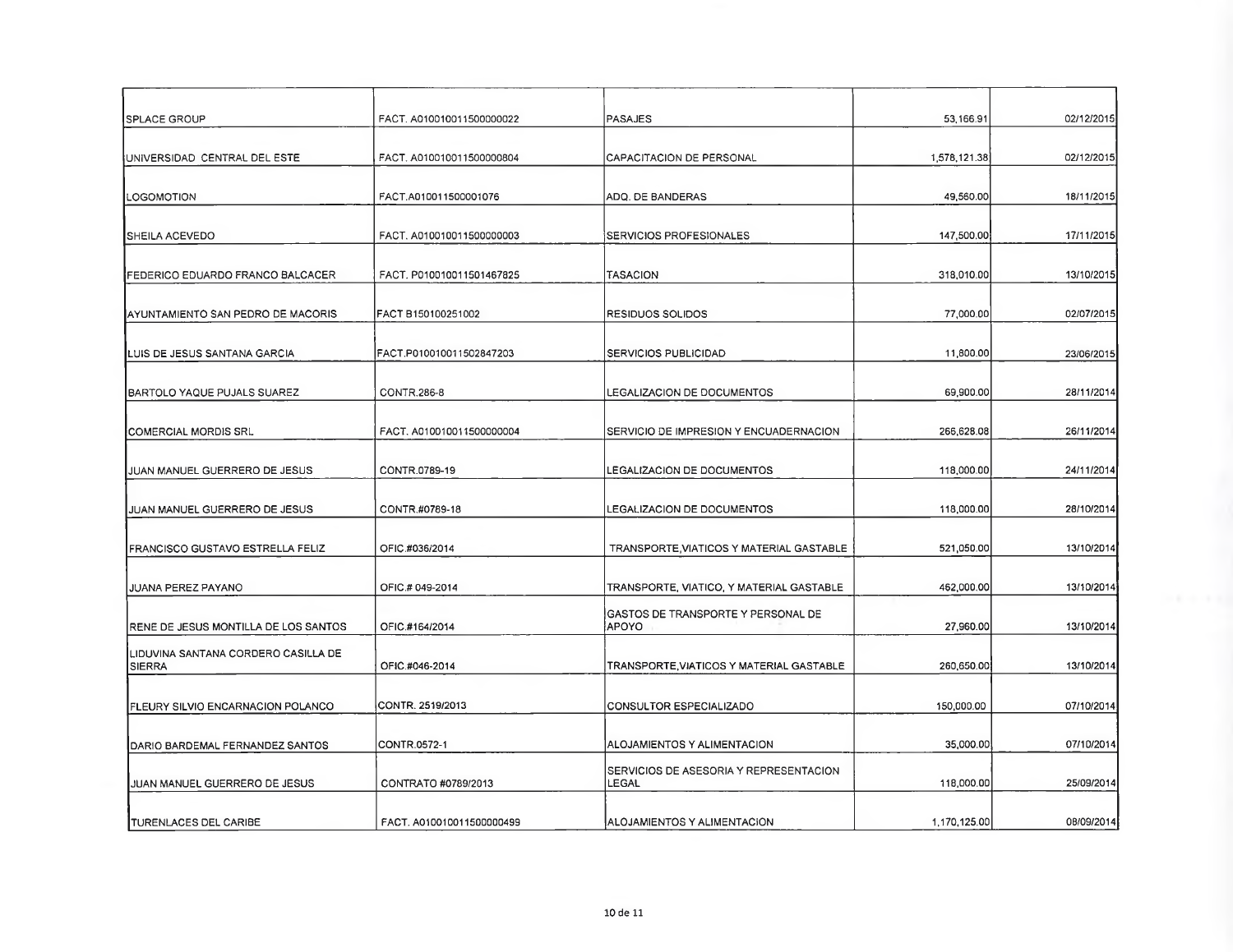| <b>SPLACE GROUP</b>                                  | FACT. A010010011500000022 | PASAJES                                         | 53,166.91    | 02/12/2015 |
|------------------------------------------------------|---------------------------|-------------------------------------------------|--------------|------------|
|                                                      |                           |                                                 |              |            |
| UNIVERSIDAD CENTRAL DEL ESTE                         | FACT, A010010011500000804 | CAPACITACION DE PERSONAL                        | 1,578,121.38 | 02/12/2015 |
| LOGOMOTION                                           | FACT.A010011500001076     | ADQ. DE BANDERAS                                | 49,560.00    | 18/11/2015 |
| <b>SHEILA ACEVEDO</b>                                | FACT. A010010011500000003 | SERVICIOS PROFESIONALES                         | 147,500.00   | 17/11/2015 |
| FEDERICO EDUARDO FRANCO BALCACER                     | FACT. P010010011501467825 | TASACION                                        | 318,010.00   | 13/10/2015 |
| AYUNTAMIENTO SAN PEDRO DE MACORIS                    | FACT B150100251002        | RESIDUOS SOLIDOS                                | 77,000.00    | 02/07/2015 |
| LUIS DE JESUS SANTANA GARCIA                         | FACT.P010010011502847203  | SERVICIOS PUBLICIDAD                            | 11,800.00    | 23/06/2015 |
| BARTOLO YAQUE PUJALS SUAREZ                          | CONTR.286-8               | LEGALIZACION DE DOCUMENTOS                      | 69,900.00    | 28/11/2014 |
| [COMERCIAL MORDIS SRL                                | FACT. A010010011500000004 | SERVICIO DE IMPRESION Y ENCUADERNACION          | 266,628.08   | 26/11/2014 |
| JUAN MANUEL GUERRERO DE JESUS                        | CONTR.0789-19             | LEGALIZACION DE DOCUMENTOS                      | 118,000.00   | 24/11/2014 |
| JUAN MANUEL GUERRERO DE JESUS                        | CONTR.#0789-18            | LEGALIZACION DE DOCUMENTOS                      | 118,000.00   | 28/10/2014 |
| FRANCISCO GUSTAVO ESTRELLA FELIZ                     | OFIC.#036/2014            | TRANSPORTE, VIATICOS Y MATERIAL GASTABLE        | 521,050.00   | 13/10/2014 |
| JUANA PEREZ PAYANO                                   | OFIC.# 049-2014           | TRANSPORTE, VIATICO, Y MATERIAL GASTABLE        | 462,000.00   | 13/10/2014 |
| RENE DE JESUS MONTILLA DE LOS SANTOS                 | OFIC.#164/2014            | GASTOS DE TRANSPORTE Y PERSONAL DE<br>APOYO     | 27,960.00    | 13/10/2014 |
| LIDUVINA SANTANA CORDERO CASILLA DE<br><b>SIERRA</b> | OFIC #046-2014            | TRANSPORTE, VIATICOS Y MATERIAL GASTABLE        | 260,650.00   | 13/10/2014 |
| FLEURY SILVIO ENCARNACION POLANCO                    | CONTR. 2519/2013          | CONSULTOR ESPECIALIZADO                         | 150,000.00   | 07/10/2014 |
| DARIO BARDEMAL FERNANDEZ SANTOS                      | CONTR.0572-1              | ALOJAMIENTOS Y ALIMENTACION                     | 35,000.00    | 07/10/2014 |
| JUAN MANUEL GUERRERO DE JESUS                        | CONTRATO #0789/2013       | SERVICIOS DE ASESORIA Y REPRESENTACION<br>LEGAL | 118,000.00   | 25/09/2014 |
| TURENLACES DEL CARIBE                                | FACT. A010010011500000499 | ALOJAMIENTOS Y ALIMENTACION                     | 1,170,125.00 | 08/09/2014 |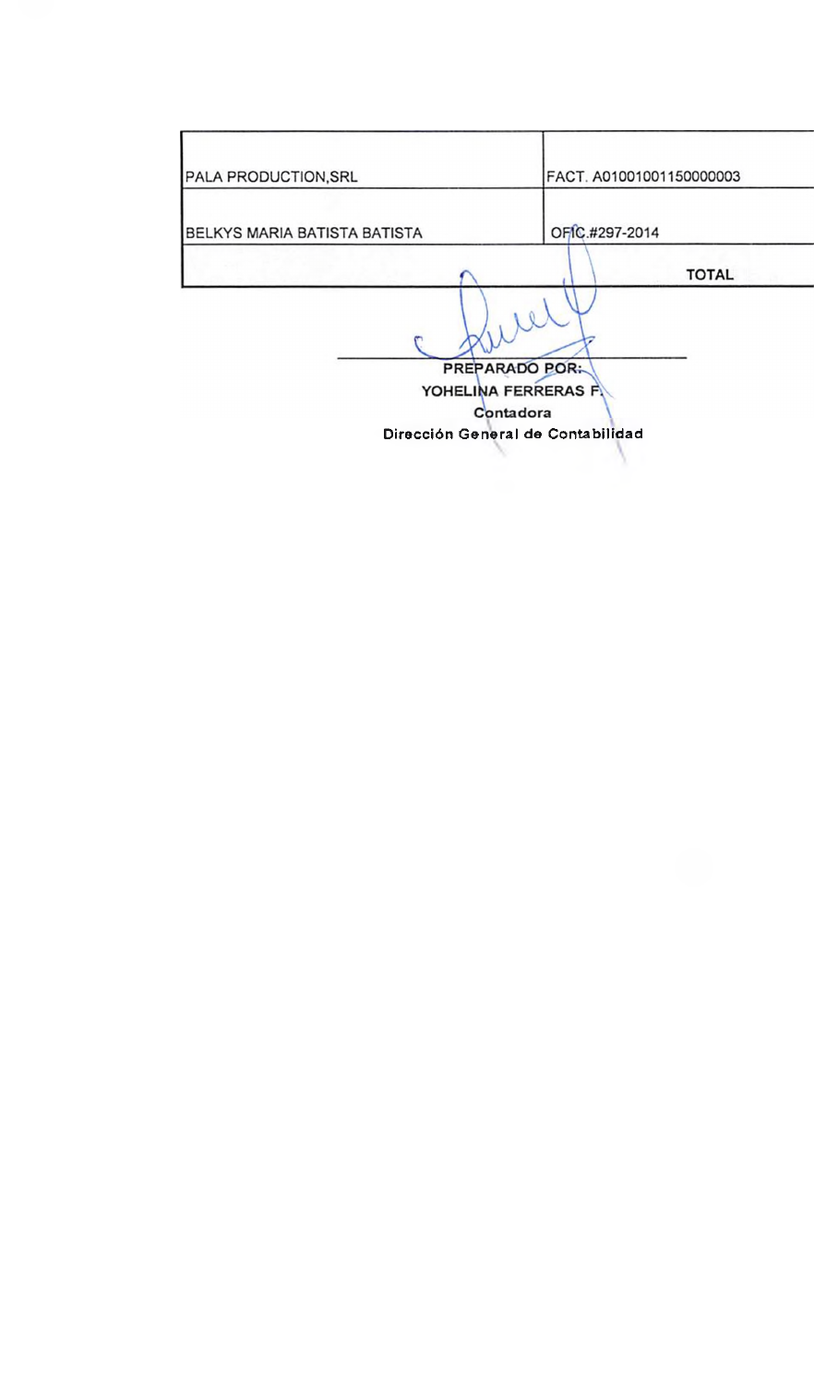| PALA PRODUCTION, SRL         | FACT. A01001001150000003                                   |
|------------------------------|------------------------------------------------------------|
| BELKYS MARIA BATISTA BATISTA | OFIC.#297-2014                                             |
|                              | <b>TOTAL</b>                                               |
|                              | <b>PREPARADO POR:</b><br>YOHELINA FERRERAS F.<br>Contadora |